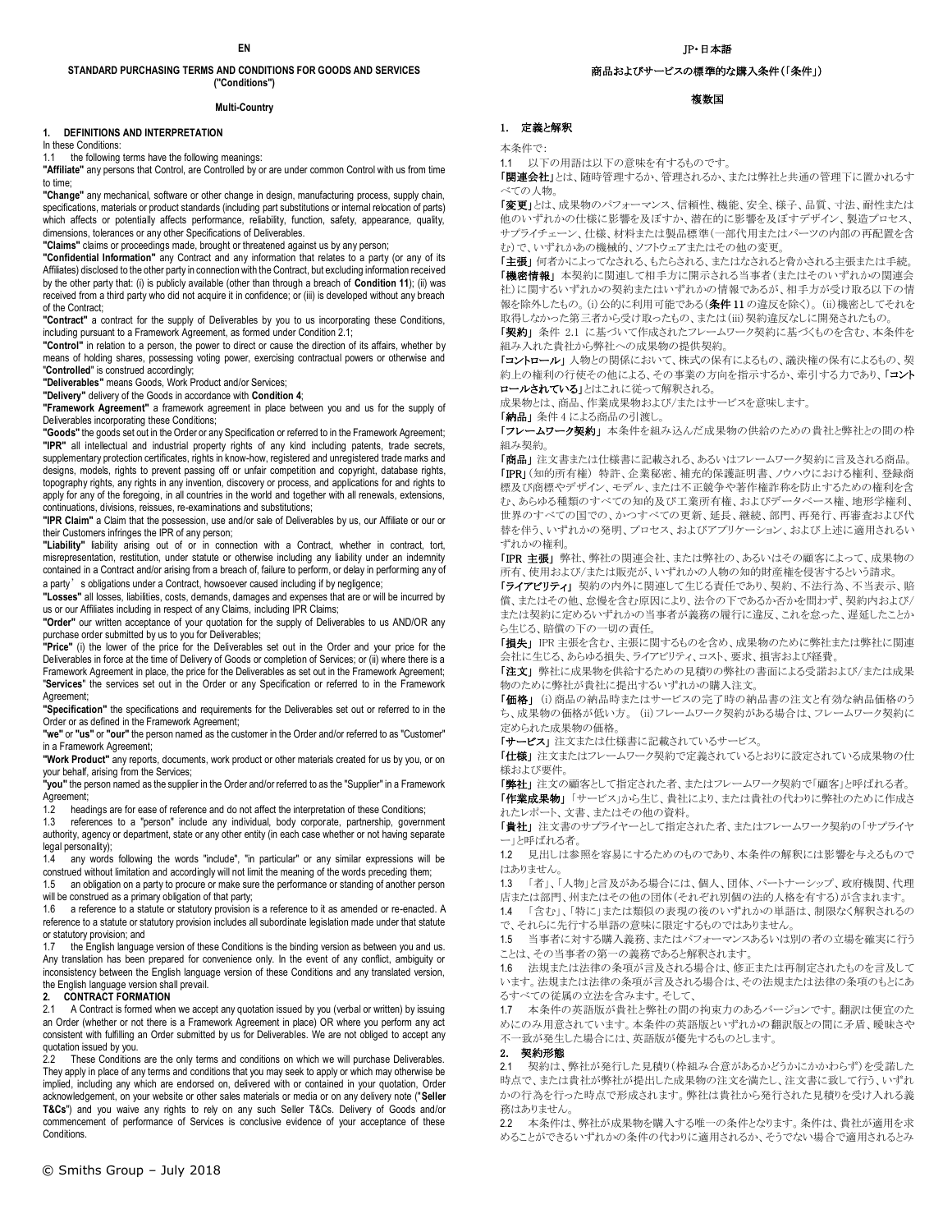# **STANDARD PURCHASING TERMS AND CONDITIONS FOR GOODS AND SERVICES ("Conditions")**

#### **Multi-Country**

# **1. DEFINITIONS AND INTERPRETATION**

In these Conditions:

1.1 the following terms have the following meanings:

**"Affiliate"** any persons that Control, are Controlled by or are under common Control with us from time to time;

**"Change"** any mechanical, software or other change in design, manufacturing process, supply chain, specifications, materials or product standards (including part substitutions or internal relocation of parts) which affects or potentially affects performance, reliability, function, safety, appearance, quality, dimensions, tolerances or any other Specifications of Deliverables.

**"Claims"** claims or proceedings made, brought or threatened against us by any person;

**"Confidential Information"** any Contract and any information that relates to a party (or any of its Affiliates) disclosed to the other party in connection with the Contract, but excluding information received by the other party that: (i) is publicly available (other than through a breach of **Condition 11**); (ii) was received from a third party who did not acquire it in confidence; or (iii) is developed without any breach of the Contract;

**"Contract"** a contract for the supply of Deliverables by you to us incorporating these Conditions, including pursuant to a Framework Agreement, as formed under Condition 2.1;

**"Control"** in relation to a person, the power to direct or cause the direction of its affairs, whether by means of holding shares, possessing voting power, exercising contractual powers or otherwise and "**Controlled**" is construed accordingly;

**"Deliverables"** means Goods, Work Product and/or Services;

**"Delivery"** delivery of the Goods in accordance with **Condition 4**;

**"Framework Agreement"** a framework agreement in place between you and us for the supply of Deliverables incorporating these Conditions;

**"Goods"** the goods set out in the Order or any Specification or referred to in the Framework Agreement; **"IPR"** all intellectual and industrial property rights of any kind including patents, trade secrets, supplementary protection certificates, rights in know-how, registered and unregistered trade marks and designs, models, rights to prevent passing off or unfair competition and copyright, database rights, topography rights, any rights in any invention, discovery or process, and applications for and rights to apply for any of the foregoing, in all countries in the world and together with all renewals, extensions, continuations, divisions, reissues, re-examinations and substitutions;

**"IPR Claim"** a Claim that the possession, use and/or sale of Deliverables by us, our Affiliate or our or their Customers infringes the IPR of any person;

**"Liability"** liability arising out of or in connection with a Contract, whether in contract, tort, misrepresentation, restitution, under statute or otherwise including any liability under an indemnity contained in a Contract and/or arising from a breach of, failure to perform, or delay in performing any of a party's obligations under a Contract, howsoever caused including if by negligence;

**"Losses"** all losses, liabilities, costs, demands, damages and expenses that are or will be incurred by us or our Affiliates including in respect of any Claims, including IPR Claims;

**"Order"** our written acceptance of your quotation for the supply of Deliverables to us AND/OR any purchase order submitted by us to you for Deliverables;

**"Price"** (i) the lower of the price for the Deliverables set out in the Order and your price for the Deliverables in force at the time of Delivery of Goods or completion of Services; or (ii) where there is a Framework Agreement in place, the price for the Deliverables as set out in the Framework Agreement; "**Services**" the services set out in the Order or any Specification or referred to in the Framework Agreement;

**"Specification"** the specifications and requirements for the Deliverables set out or referred to in the Order or as defined in the Framework Agreement;

**"we"** or **"us"** or **"our"** the person named as the customer in the Order and/or referred to as "Customer" in a Framework Agreement;

**"Work Product"** any reports, documents, work product or other materials created for us by you, or on your behalf, arising from the Services;

**"you"** the person named as the supplier in the Order and/or referred to as the "Supplier" in a Framework Agreement;<br>1.2 head

1.2 headings are for ease of reference and do not affect the interpretation of these Conditions;<br>1.3 references to a "person" include any individual, body corporate, partnership, governr

references to a "person" include any individual, body corporate, partnership, government authority, agency or department, state or any other entity (in each case whether or not having separate legal personality);

1.4 any words following the words "include", "in particular" or any similar expressions will be construed without limitation and accordingly will not limit the meaning of the words preceding them;

1.5 an obligation on a party to procure or make sure the performance or standing of another person will be construed as a primary obligation of that party;

1.6 a reference to a statute or statutory provision is a reference to it as amended or re-enacted. A reference to a statute or statutory provision includes all subordinate legislation made under that statute or statutory provision; and<br>1.7 the English language

the English language version of these Conditions is the binding version as between you and us. Any translation has been prepared for convenience only. In the event of any conflict, ambiguity or inconsistency between the English language version of these Conditions and any translated version, the English language version shall prevail.

**2. CONTRACT FORMATION** A Contract is formed when we accept any quotation issued by you (verbal or written) by issuing an Order (whether or not there is a Framework Agreement in place) OR where you perform any act consistent with fulfilling an Order submitted by us for Deliverables. We are not obliged to accept any quotation issued by you.<br>2.2. These Conditions

These Conditions are the only terms and conditions on which we will purchase Deliverables. They apply in place of any terms and conditions that you may seek to apply or which may otherwise be implied, including any which are endorsed on, delivered with or contained in your quotation, Order acknowledgement, on your website or other sales materials or media or on any delivery note ("**Seller T&Cs**") and you waive any rights to rely on any such Seller T&Cs. Delivery of Goods and/or commencement of performance of Services is conclusive evidence of your acceptance of these Conditions.

# 商品およびサービスの標準的な購入条件(「条件」)

複数国

# 1. 定義と解釈

本条件で:

1.1 以下の用語は以下の意味を有するものです。

「関連会社」とは、随時管理するか、管理されるか、または弊社と共通の管理下に置かれるす べての人物。

「変更」とは、成果物のパフォーマンス、信頼性、機能、安全、様子、品質、寸法、耐性または 他のいずれかの仕様に影響を及ぼすか、潜在的に影響を及ぼすデザイン、製造プロセス、 サプライチェーン、仕様、材料または製品標準(一部代用またはパーツの内部の再配置を含 む)で、いずれかあの機械的、ソフトウェアまたはその他の変更。

「主張」 何者かによってなされる、もたらされる、またはなされると脅かされる主張または手続。 「機密情報」本契約に関連して相手方に開示される当事者(またはそのいずれかの関連会 社)に関するいずれかの契約またはいずれかの情報であるが、相手方が受け取る以下の情 報を除外したもの。(i)公的に利用可能である(条件11の違反を除く)。 (ii)機密としてそれを 取得しなかった第三者から受け取ったもの、または(iii)契約違反なしに開発されたもの。

「契約」 条件 2.1 に基づいて作成されたフレームワーク契約に基づくものを含む、本条件を 組み入れた貴社から弊社への成果物の提供契約。

「コントロール」人物との関係において、株式の保有によるもの、議決権の保有によるもの、契 約上の権利の行使その他による、その事業の方向を指示するか、牽引する力であり、「コント ロールされている」とはこれに従って解釈される。

成果物とは、商品、作業成果物および/またはサービスを意味します。

「納品」 条件 4 による商品の引渡し。

「フレームワーク契約」本条件を組み込んだ成果物の供給のための貴社と弊社との間の枠 組み契約。

**「商品」** 注文書または仕様書に記載される、あるいはフレームワーク契約に言及される商品。 「IPR」(知的所有権) 特許、企業秘密、補充的保護証明書、ノウハウにおける権利、登録商 標及び商標やデザイン、モデル、または不正競争や著作権詐称を防止するための権利を含 む、あらゆる種類のすべての知的及び工業所有権、およびデータベース権、地形学権利、 世界のすべての国での、かつすべての更新、延長、継続、部門、再発行、再審査および代 替を伴う、いずれかの発明、プロセス、およびアプリケーション、および上述に適用されるい ずれかの権利。

「IPR主張」 弊社、弊社の関連会社、または弊社の、あるいはその顧客によって、成果物の 所有、使用および/または販売が、いずれかの人物の知的財産権を侵害するという請求。

「ライアビリティ」 契約の内外に関連して生じる責任であり、契約、不法行為、不当表示、賠 償、またはその他、怠慢を含む原因により、法令の下であるか否かを問わず、契約内および/ または契約に定めるいずれかの当事者が義務の履行に違反、これを怠った、遅延したことか ら生じる、賠償の下の一切の責任。

「損失」 IPR 主張を含む、主張に関するものを含め、成果物のために弊社または弊社に関連 会社に生じる、あらゆる損失、ライアビリティ、コスト、要求、損害および経費。

「注文」 弊社に成果物を供給するための見積りの弊社の書面による受諾および/または成果 物のために弊社が貴社に提出するいずれかの購入注文。

「価格」 (i)商品の納品時またはサービスの完了時の納品書の注文と有効な納品価格のう ち、成果物の価格が低い方。 (ii)フレームワーク契約がある場合は、フレームワーク契約に 定められた成果物の価格。

「サービス」 注文または仕様書に記載されているサービス。

**「仕様」** 注文またはフレームワーク契約で定義されているとおりに設定されている成果物の仕 様および要件。

「弊社」 注文の顧客として指定された者、またはフレームワーク契約で「顧客」と呼ばれる者。

**「作業成果物」**「サービス」から生じ、貴社により、または貴社の代わりに弊社のために作成さ れたレポート、文書、またはその他の資料。

「貴社」 注文書のサプライヤーとして指定された者、またはフレームワーク契約の「サプライヤ ー」と呼ばれる者。

1.2 見出しは参照を容易にするためのものであり、本条件の解釈には影響を与えるもので はありません。

1.3 「者」、「人物」と言及がある場合には、個人、団体、パートナーシップ、政府機関、代理 店または部門、州またはその他の団体(それぞれ別個の法的人格を有する)が含まれます。

1.4 「含む」、「特に」または類似の表現の後のいずれかの単語は、制限なく解釈されるの

で、それらに先行する単語の意味に限定するものではありません。

1.5 当事者に対する購入義務、またはパフォーマンスあるいは別の者の立場を確実に行う ことは、その当事者の第一の義務であると解釈されます。

1.6 法規または法律の条項が言及される場合は、修正または再制定されたものを言及して います。法規または法律の条項が言及される場合は、その法規または法律の条項のもとにあ るすべての従属の立法を含みます。そして、

1.7 本条件の英語版が貴社と弊社の間の拘束力のあるバージョンです。翻訳は便宜のた めにのみ用意されています。本条件の英語版といずれかの翻訳版との間に矛盾、曖昧さや 不一致が発生した場合には、英語版が優先するものとします。

#### 2. 契約形態

2.1 契約は、弊社が発行した見積り(枠組み合意があるかどうかにかかわらず)を受諾した 時点で、または貴社が弊社が提出した成果物の注文を満たし、注文書に致して行う、いずれ かの行為を行った時点で形成されます。弊社は貴社から発行された見積りを受け入れる義 務はありません。

2.2 本条件は、弊社が成果物を購入する唯一の条件となります。条件は、貴社が適用を求 めることができるいずれかの条件の代わりに適用されるか、そうでない場合で適用されるとみ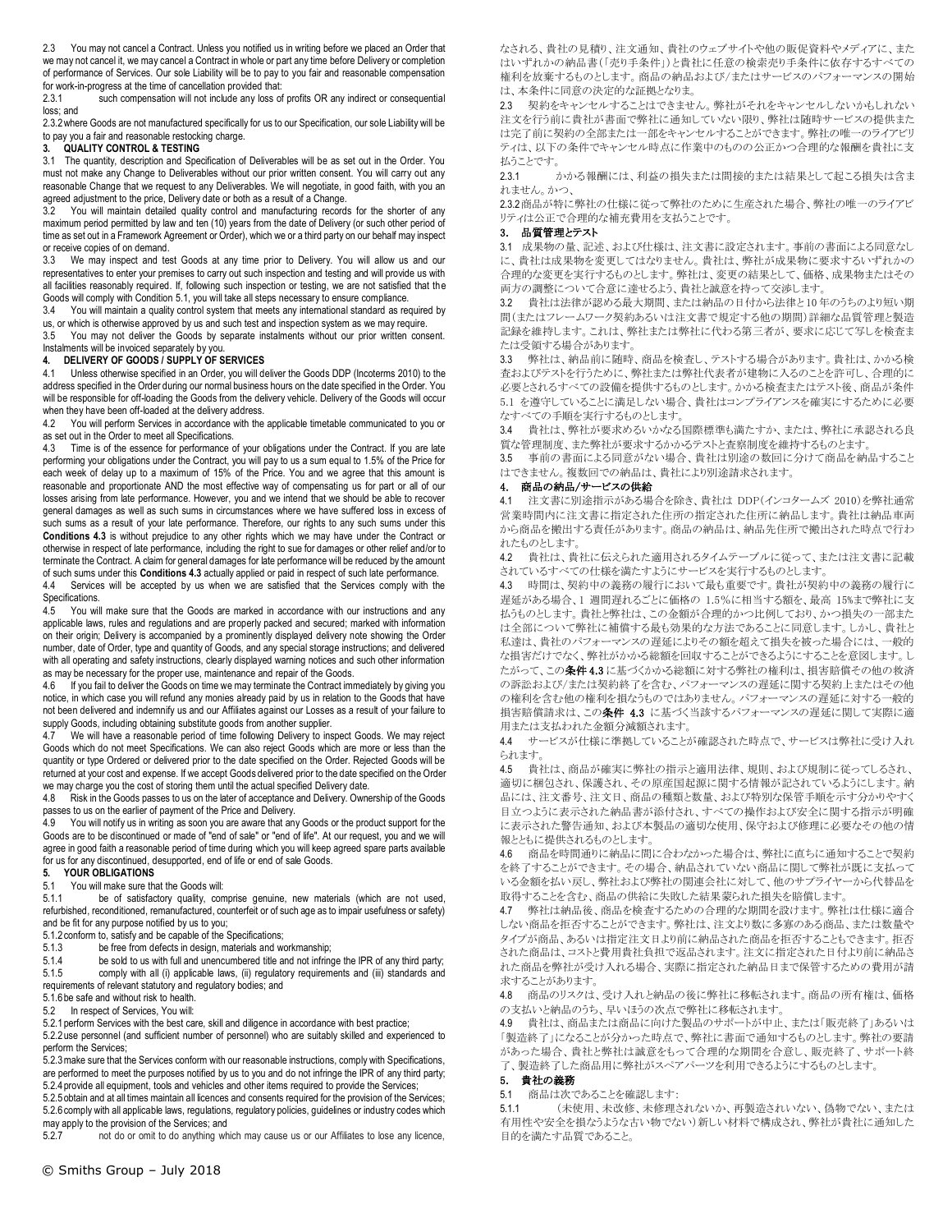2.3 You may not cancel a Contract. Unless you notified us in writing before we placed an Order that we may not cancel it, we may cancel a Contract in whole or part any time before Delivery or completion of performance of Services. Our sole Liability will be to pay to you fair and reasonable compensation for work-in-progress at the time of cancellation provided that:<br>2.3.1 such compensation will not include any loss of

such compensation will not include any loss of profits OR any indirect or consequential loss; and

2.3.2where Goods are not manufactured specifically for us to our Specification, our sole Liability will be to pay you a fair and reasonable restocking charge.

# **3. QUALITY CONTROL & TESTING**

3.1 The quantity, description and Specification of Deliverables will be as set out in the Order. You must not make any Change to Deliverables without our prior written consent. You will carry out any reasonable Change that we request to any Deliverables. We will negotiate, in good faith, with you an agreed adjustment to the price, Delivery date or both as a result of a Change.

3.2 You will maintain detailed quality control and manufacturing records for the shorter of any maximum period permitted by law and ten (10) years from the date of Delivery (or such other period of time as set out in a Framework Agreement or Order), which we or a third party on our behalf may inspect or receive copies of on demand.

3.3 We may inspect and test Goods at any time prior to Delivery. You will allow us and our representatives to enter your premises to carry out such inspection and testing and will provide us with all facilities reasonably required. If, following such inspection or testing, we are not satisfied that the Goods will comply with Condition 5.1, you will take all steps necessary to ensure compliance.

3.4 You will maintain a quality control system that meets any international standard as required by

us, or which is otherwise approved by us and such test and inspection system as we may require. 3.5 You may not deliver the Goods by separate instalments without our prior written consent. Instalments will be invoiced separately by you.

# **4. DELIVERY OF GOODS / SUPPLY OF SERVICES**

Unless otherwise specified in an Order, you will deliver the Goods DDP (Incoterms 2010) to the address specified in the Order during our normal business hours on the date specified in the Order. You will be responsible for off-loading the Goods from the delivery vehicle. Delivery of the Goods will occur when they have been off-loaded at the delivery address.<br>4.2 You will perform Services in accordance with the

You will perform Services in accordance with the applicable timetable communicated to you or as set out in the Order to meet all Specifications.

Time is of the essence for performance of your obligations under the Contract. If you are late performing your obligations under the Contract, you will pay to us a sum equal to 1.5% of the Price for each week of delay up to a maximum of 15% of the Price. You and we agree that this amount is reasonable and proportionate AND the most effective way of compensating us for part or all of our losses arising from late performance. However, you and we intend that we should be able to recover general damages as well as such sums in circumstances where we have suffered loss in excess of such sums as a result of your late performance. Therefore, our rights to any such sums under this **Conditions 4.3** is without prejudice to any other rights which we may have under the Contract or otherwise in respect of late performance, including the right to sue for damages or other relief and/or to terminate the Contract. A claim for general damages for late performance will be reduced by the amount of such sums under this **Conditions 4.3** actually applied or paid in respect of such late performance.

4.4 Services will be accepted by us when we are satisfied that the Services comply with the Specifications.

4.5 You will make sure that the Goods are marked in accordance with our instructions and any applicable laws, rules and regulations and are properly packed and secured; marked with information on their origin; Delivery is accompanied by a prominently displayed delivery note showing the Order number, date of Order, type and quantity of Goods, and any special storage instructions; and delivered with all operating and safety instructions, clearly displayed warning notices and such other information as may be necessary for the proper use, maintenance and repair of the Goods.

If you fail to deliver the Goods on time we may terminate the Contract immediately by giving you notice, in which case you will refund any monies already paid by us in relation to the Goods that have not been delivered and indemnify us and our Affiliates against our Losses as a result of your failure to supply Goods, including obtaining substitute goods from another supplier.

4.7 We will have a reasonable period of time following Delivery to inspect Goods. We may reject Goods which do not meet Specifications. We can also reject Goods which are more or less than the quantity or type Ordered or delivered prior to the date specified on the Order. Rejected Goods will be returned at your cost and expense. If we accept Goods delivered prior to the date specified on the Order we may charge you the cost of storing them until the actual specified Delivery date.

4.8 Risk in the Goods passes to us on the later of acceptance and Delivery. Ownership of the Goods passes to us on the earlier of payment of the Price and Delivery.

4.9 You will notify us in writing as soon you are aware that any Goods or the product support for the Goods are to be discontinued or made of "end of sale" or "end of life". At our request, you and we will agree in good faith a reasonable period of time during which you will keep agreed spare parts available for us for any discontinued, desupported, end of life or end of sale Goods.

# **5. YOUR OBLIGATIONS**

5.1 You will make sure that the Goods will:<br>5.1.1 be of satisfactory quality, con

be of satisfactory quality, comprise genuine, new materials (which are not used, refurbished, reconditioned, remanufactured, counterfeit or of such age as to impair usefulness or safety) and be fit for any purpose notified by us to you;

5.1.2 conform to, satisfy and be capable of the Specifications;<br>5.1.3 be free from defects in design. materials and w

be free from defects in design, materials and workmanship;

5.1.4 be sold to us with full and unencumbered title and not infringe the IPR of any third party;<br>5.1.5 comply with all (i) applicable laws, (ii) regulatory requirements and (iii) standards and comply with all (i) applicable laws, (ii) regulatory requirements and (iii) standards and requirements of relevant statutory and regulatory bodies; and

5.1.6be safe and without risk to health.

5.2 In respect of Services, You will:

5.2.1perform Services with the best care, skill and diligence in accordance with best practice;

5.2.2use personnel (and sufficient number of personnel) who are suitably skilled and experienced to perform the Services;

.<br>5.2.3 make sure that the Services conform with our reasonable instructions, comply with Specifications, are performed to meet the purposes notified by us to you and do not infringe the IPR of any third party; 5.2.4provide all equipment, tools and vehicles and other items required to provide the Services;

5.2.5obtain and at all times maintain all licences and consents required for the provision of the Services;

5.2.6comply with all applicable laws, regulations, regulatory policies, guidelines or industry codes which may apply to the provision of the Services; and

5.2.7 not do or omit to do anything which may cause us or our Affiliates to lose any licence,

なされる、貴社の見積り、注文通知、貴社のウェブサイトや他の販促資料やメディアに、また はいずれかの納品書(「売り手条件」)と貴社に任意の検索売り手条件に依存するすべての 権利を放棄するものとします。商品の納品および/またはサービスのパフォーマンスの開始 は、本条件に同意の決定的な証拠となりま。

2.3 契約をキャンセルすることはできません。弊社がそれをキャンセルしないかもしれない 注文を行う前に貴社が書面で弊社に通知していない限り、弊社は随時サービスの提供また は完了前に契約の全部または一部をキャンセルすることができます。弊社の唯一のライアビリ ティは、以下の条件でキャンセル時点に作業中のものの公正かつ合理的な報酬を貴社に支 払うことです。

2.3.1 かかる報酬には、利益の損失または間接的または結果として起こる損失は含ま れません。かつ、

2.3.2商品が特に弊社の仕様に従って弊社のために生産された場合、弊社の唯一のライアビ リティは公正で合理的な補充費用を支払うことです。

#### 3. 品質管理とテスト

3.1 成果物の量、記述、および仕様は、注文書に設定されます。事前の書面による同意なし に、貴社は成果物を変更してはなりません。貴社は、弊社が成果物に要求するいずれかの 合理的な変更を実行するものとします。弊社は、変更の結果として、価格、成果物またはその 両方の調整について合意に達せるよう、貴社と誠意を持って交渉します。

3.2 貴社は法律が認める最大期間、または納品の日付から法律と 10 年のうちのより短い期 間(またはフレームワーク契約あるいは注文書で規定する他の期間)詳細な品質管理と製造 記録を維持します。これは、弊社または弊社に代わる第三者が、要求に応じて写しを検査ま たは受領する場合があります。

3.3 弊社は、納品前に随時、商品を検査し、テストする場合があります。貴社は、かかる検 査およびテストを行うために、弊社または弊社代表者が建物に入るのことを許可し、合理的に 必要とされるすべての設備を提供するものとします。かかる検査またはテスト後、商品が条件 5.1 を遵守していることに満足しない場合、貴社はコンプライアンスを確実にするために必要 なすべての手順を実行するものとします。

3.4 貴社は、弊社が要求めるいかなる国際標準も満たすか、または、弊社に承認される良 質な管理制度、また弊社が要求するかかるテストと査察制度を維持するものとます。

3.5 事前の書面による同意がない場合、貴社は別途の数回に分けて商品を納品すること はできません。複数回での納品は、貴社により別途請求されます。

# 4. 商品の納品/サービスの供給

4.1 注文書に別途指示がある場合を除き、貴社は DDP(インコタームズ 2010)を弊社通常 営業時間内に注文書に指定された住所の指定された住所に納品します。貴社は納品車両 から商品を搬出する責任があります。商品の納品は、納品先住所で搬出された時点で行わ れたものとします。

4.2 貴社は、貴社に伝えられた適用されるタイムテーブルに従って、または注文書に記載 されているすべての仕様を満たすようにサービスを実行するものとします。

4.3 時間は、契約中の義務の履行において最も重要です。貴社が契約中の義務の履行に 遅延がある場合、1 週間遅れるごとに価格の 1.5%に相当する額を、最高 15%まで弊社に支 払うものとします。貴社と弊社は、この金額が合理的かつ比例しており、かつ損失の一部また は全部について弊社に補償する最も効果的な方法であることに同意します。しかし、貴社と 私達は、貴社のパフォーマンスの遅延によりその額を超えて損失を被った場合には、一般的 な損害だけでなく、弊社がかかる総額を回収することができるようにすることを意図します。し たがって、この条件4.3に基づくかかる総額に対する弊社の権利は、損害賠償その他の救済 の訴訟および/または契約終了を含む、パフォーマンスの遅延に関する契約上またはその他 の権利を含む他の権利を損なうものではありません。パフォーマンスの遅延に対する一般的 損害賠償請求は、この条件 4.3 に基づく当該するパフォーマンスの遅延に関して実際に適 用または支払われた金額分減額されます。

4.4 サービスが仕様に準拠していることが確認された時点で、サービスは弊社に受け入れ られます。

4.5 貴社は、商品が確実に弊社の指示と適用法律、規則、および規制に従ってしるされ、 適切に梱包され、保護され、その原産国起源に関する情報が記されているようにします。納 品には、注文番号、注文日、商品の種類と数量、および特別な保管手順を示す分かりやすく 目立つように表示された納品書が添付され、すべての操作および安全に関する指示が明確 に表示された警告通知、および本製品の適切な使用、保守および修理に必要なその他の情 報とともに提供されるものとします。

4.6 商品を時間通りに納品に間に合わなかった場合は、弊社に直ちに通知することで契約 を終了することができます。その場合、納品されていない商品に関して弊社が既に支払って いる金額を払い戻し、弊社および弊社の関連会社に対して、他のサプライヤーから代替品を 取得することを含む、商品の供給に失敗した結果蒙られた損失を賠償します。

4.7 弊社は納品後、商品を検査するための合理的な期間を設けます。弊社は仕様に適合 しない商品を拒否することができます。弊社は、注文より数に多寡のある商品、または数量や タイプが商品、あるいは指定注文日より前に納品された商品を拒否することもできます。拒否 された商品は、コストと費用貴社負担で返品されます。注文に指定された日付より前に納品さ れた商品を弊社が受け入れる場合、実際に指定された納品日まで保管するための費用が請 求することがあります。

4.8 商品のリスクは、受け入れと納品の後に弊社に移転されます。商品の所有権は、価格 の支払いと納品のうち、早いほうの次点で弊社に移転されます。

4.9 貴社は、商品または商品に向けた製品のサポートが中止、または「販売終了」あるいは 「製造終了」になることが分かった時点で、弊社に書面で通知するものとします。弊社の要請 があった場合、貴社と弊社は誠意をもって合理的な期間を合意し、販売終了、サポート終 了、製造終了した商品用に弊社がスペアパーツを利用できるようにするものとします。

#### 5. 貴社の義務

5.1 商品は次であることを確認します:

5.1.1 (未使用、未改修、未修理されないか、再製造されいない、偽物でない、または 有用性や安全を損なうような古い物でない)新しい材料で構成され、弊社が貴社に通知した 目的を満たす品質であること。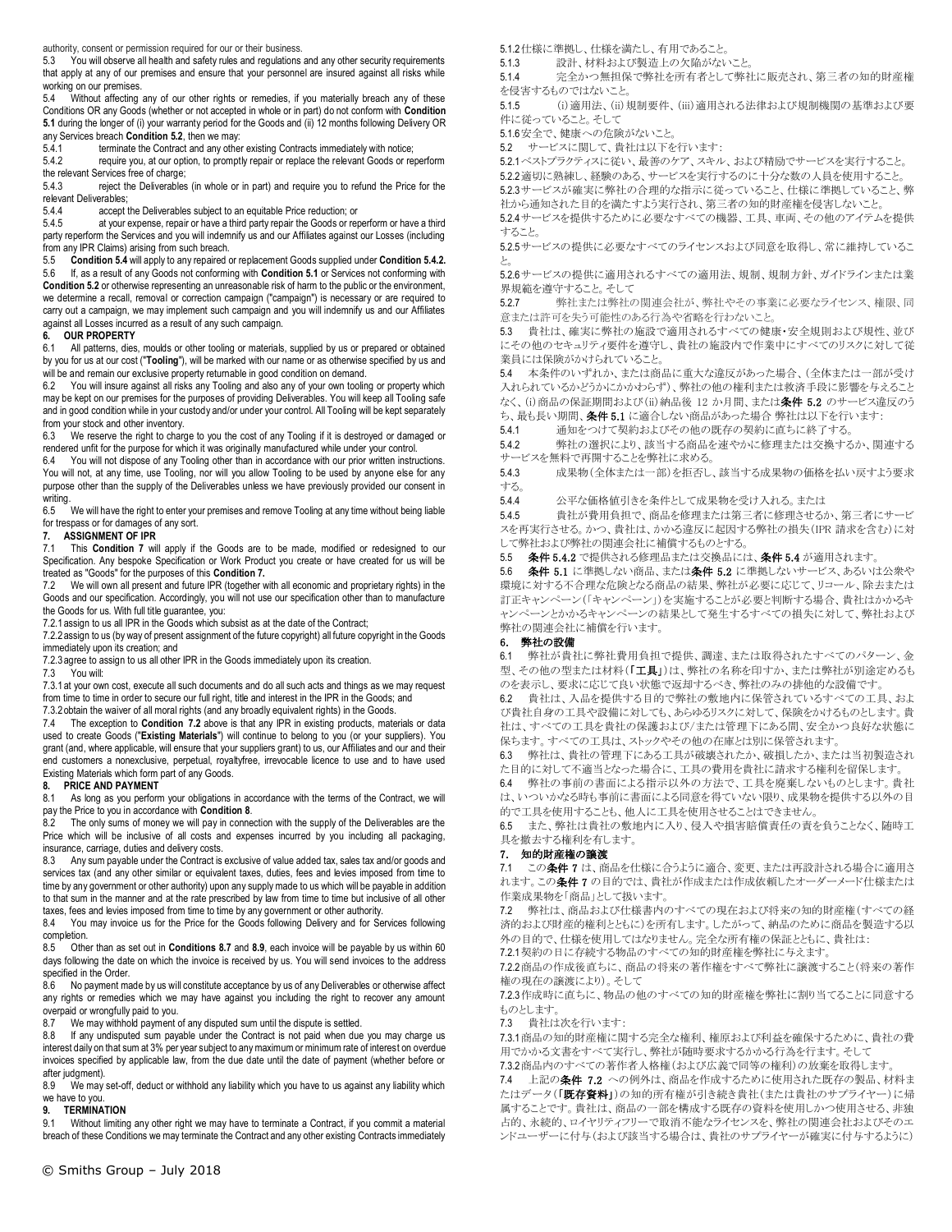authority, consent or permission required for our or their business.

5.3 You will observe all health and safety rules and regulations and any other security requirements that apply at any of our premises and ensure that your personnel are insured against all risks while working on our premises.

5.4 Without affecting any of our other rights or remedies, if you materially breach any of these Conditions OR any Goods (whether or not accepted in whole or in part) do not conform with **Condition 5.1** during the longer of (i) your warranty period for the Goods and (ii) 12 months following Delivery OR any Services breach **Condition 5.2**, then we may:<br>5.4.1 terminate the Contract and any other

5.4.1 terminate the Contract and any other existing Contracts immediately with notice;<br>5.4.2 require you, at our option, to promptly repair or replace the relevant Goods or re

require you, at our option, to promptly repair or replace the relevant Goods or reperform the relevant Services free of charge;

5.4.3 reject the Deliverables (in whole or in part) and require you to refund the Price for the relevant Deliverables;

5.4.4 accept the Deliverables subject to an equitable Price reduction; or

5.4.5 at your expense, repair or have a third party repair the Goods or reperform or have a third party reperform the Services and you will indemnify us and our Affiliates against our Losses (including from any IPR Claims) arising from such breach.

5.5 **Condition 5.4** will apply to any repaired or replacement Goods supplied under **Condition 5.4.2.** 5.6 If, as a result of any Goods not conforming with **Condition 5.1** or Services not conforming with **Condition 5.2** or otherwise representing an unreasonable risk of harm to the public or the environment, we determine a recall, removal or correction campaign ("campaign") is necessary or are required to carry out a campaign, we may implement such campaign and you will indemnify us and our Affiliates against all Losses incurred as a result of any such campaign.

# **6. OUR PROPERTY**

6.1 All patterns, dies, moulds or other tooling or materials, supplied by us or prepared or obtained by you for us at our cost ("**Tooling**"), will be marked with our name or as otherwise specified by us and will be and remain our exclusive property returnable in good condition on demand.

You will insure against all risks any Tooling and also any of your own tooling or property which may be kept on our premises for the purposes of providing Deliverables. You will keep all Tooling safe and in good condition while in your custody and/or under your control. All Tooling will be kept separately from your stock and other inventory.<br>6.3 We reserve the right to charge

We reserve the right to charge to you the cost of any Tooling if it is destroyed or damaged or rendered unfit for the purpose for which it was originally manufactured while under your control.<br>6.4 You will not dispose of any Tooling other than in accordance with our prior written instru

You will not dispose of any Tooling other than in accordance with our prior written instructions. You will not, at any time, use Tooling, nor will you allow Tooling to be used by anyone else for any purpose other than the supply of the Deliverables unless we have previously provided our consent in writing.

6.5 We will have the right to enter your premises and remove Tooling at any time without being liable for trespass or for damages of any sort.

# **7. ASSIGNMENT OF IPR**

7.1 This **Condition 7** will apply if the Goods are to be made, modified or redesigned to our Specification. Any bespoke Specification or Work Product you create or have created for us will be treated as "Goods" for the purposes of this **Condition 7.**

7.2 We will own all present and future IPR (together with all economic and proprietary rights) in the Goods and our specification. Accordingly, you will not use our specification other than to manufacture the Goods for us. With full title guarantee, you:

7.2.1assign to us all IPR in the Goods which subsist as at the date of the Contract;

7.2.2assign to us (by way of present assignment of the future copyright) all future copyright in the Goods immediately upon its creation; and

7.2.3 agree to assign to us all other IPR in the Goods immediately upon its creation.<br>7.3 You will:

You will:

7.3.1at your own cost, execute all such documents and do all such acts and things as we may request from time to time in order to secure our full right, title and interest in the IPR in the Goods; and

7.3.2 obtain the waiver of all moral rights (and any broadly equivalent rights) in the Goods.<br>7.4 The exception to **Condition 7.2** above is that any IPR in existing products, mate 7.4 The exception to **Condition 7.2** above is that any IPR in existing products, materials or data used to create Goods ("**Existing Materials**") will continue to belong to you (or your suppliers). You grant (and, where applicable, will ensure that your suppliers grant) to us, our Affiliates and our and their end customers a nonexclusive, perpetual, royaltyfree, irrevocable licence to use and to have used Existing Materials which form part of any Goods.

# **8. PRICE AND PAYMENT**

8.1 As long as you perform your obligations in accordance with the terms of the Contract, we will pay the Price to you in accordance with **Condition 8**.

8.2 The only sums of money we will pay in connection with the supply of the Deliverables are the Price which will be inclusive of all costs and expenses incurred by you including all packaging, insurance, carriage, duties and delivery costs.

8.3 Any sum payable under the Contract is exclusive of value added tax, sales tax and/or goods and services tax (and any other similar or equivalent taxes, duties, fees and levies imposed from time to time by any government or other authority) upon any supply made to us which will be payable in addition to that sum in the manner and at the rate prescribed by law from time to time but inclusive of all other taxes, fees and levies imposed from time to time by any government or other authority.

8.4 You may invoice us for the Price for the Goods following Delivery and for Services following completion.

8.5 Other than as set out in **Conditions 8.7** and **8.9**, each invoice will be payable by us within 60 days following the date on which the invoice is received by us. You will send invoices to the address specified in the Order.

8.6 No payment made by us will constitute acceptance by us of any Deliverables or otherwise affect any rights or remedies which we may have against you including the right to recover any amount overpaid or wrongfully paid to you.<br>8.7 We may withhold payment of

We may withhold payment of any disputed sum until the dispute is settled.

8.8 If any undisputed sum payable under the Contract is not paid when due you may charge us interest daily on that sum at 3% per year subject to any maximum or minimum rate of interest on overdue invoices specified by applicable law, from the due date until the date of payment (whether before or after judgment).<br>8.9 We may

We may set-off, deduct or withhold any liability which you have to us against any liability which we have to you.

# **9. TERMINATION**

9.1 Without limiting any other right we may have to terminate a Contract, if you commit a material breach of these Conditions we may terminate the Contract and any other existing Contracts immediately 5.1.2仕様に準拠し、仕様を満たし、有用であること。

5.1.3 設計、材料および製造上の欠陥がないこと。

5.1.4 完全かつ無担保で弊社を所有者として弊社に販売され、第三者の知的財産権 を侵害するものではないこと。

5.1.5 (i)適用法、(ii)規制要件、(iii)適用される法律および規制機関の基準および要 件に従っていること。そして

5.1.6安全で、健康への危険がないこと。

5.2 サービスに関して、貴社は以下を行います:

5.2.1ベストプラクティスに従い、最善のケア、スキル、および精励でサービスを実行すること。 5.2.2適切に熟練し、経験のある、サービスを実行するのに十分な数の人員を使用すること。

5.2.3サービスが確実に弊社の合理的な指示に従っていること、仕様に準拠していること、弊 社から通知された目的を満たすよう実行され、第三者の知的財産権を侵害しないこと。

5.2.4サービスを提供するために必要なすべての機器、工具、車両、その他のアイテムを提供 すること。

5.2.5サービスの提供に必要なすべてのライセンスおよび同意を取得し、常に維持しているこ と。

5.2.6サービスの提供に適用されるすべての適用法、規制、規制方針、ガイドラインまたは業 界規範を遵守すること。そして

5.2.7 弊社または弊社の関連会社が、弊社やその事業に必要なライセンス、権限、同 意または許可を失う可能性のある行為や省略を行わないこと。

5.3 貴社は、確実に弊社の施設で適用されるすべての健康・安全規則および規性、並び にその他のセキュリティ要件を遵守し、貴社の施設内で作業中にすべてのリスクに対して従 業員には保険がかけられていること。

5.4 本条件のいずれか、または商品に重大な違反があった場合、(全体または一部が受け 入れられているかどうかにかかわらず)、弊社の他の権利または救済手段に影響を与えること なく、(i)商品の保証期間および(ii)納品後 12 か月間、または条件 5.2 のサービス違反のう ち、最も長い期間、条件5.1 に適合しない商品があった場合 弊社は以下を行います:

5.4.1 通知をつけて契約およびその他の既存の契約に直ちに終了する。

5.4.2 弊社の選択により、該当する商品を速やかに修理または交換するか、関連する サービスを無料で再開することを弊社に求める。

5.4.3 成果物(全体または一部)を拒否し、該当する成果物の価格を払い戻すよう要求 する。

5.4.4 公平な価格値引きを条件として成果物を受け入れる。または

5.4.5 貴社が費用負担で、商品を修理または第三者に修理させるか、第三者にサービ スを再実行させる。かつ、貴社は、かかる違反に起因する弊社の損失(IPR 請求を含む)に対 して弊社および弊社の関連会社に補償するものとする。

5.5 条件 5.4.2 で提供される修理品または交換品には、条件 5.4 が適用されます。

5.6 条件 5.1 に準拠しない商品、または条件 5.2 に準拠しないサービス、あるいは公衆や 環境に対する不合理な危険となる商品の結果、弊社が必要に応じて、リコール、除去または 訂正キャンペーン(「キャンペーン」)を実施することが必要と判断する場合、貴社はかかるキ ャンペーンとかかるキャンペーンの結果として発生するすべての損失に対して、弊社および 弊社の関連会社に補償を行います。

# 6. 弊社の設備

6.1 弊社が貴社に弊社費用負担で提供、調達、または取得されたすべてのパターン、金 型、その他の型または材料(「工具」)は、弊社の名称を印すか、または弊社が別途定めるも のを表示し、要求に応じて良い状態で返却するべき、弊社のみの排他的な設備です。

6.2 貴社は、入品を提供する目的で弊社の敷地内に保管されているすべての工具、およ び貴社自身の工具や設備に対しても、あらゆるリスクに対して、保険をかけるものとします。貴 社は、すべての工具を貴社の保護および/または管理下にある間、安全かつ良好な状態に 保ちます。すべての工具は、ストックやその他の在庫とは別に保管されます。

6.3 弊社は、貴社の管理下にある工具が破壊されたか、破損したか、または当初製造され た目的に対して不適当となった場合に、工具の費用を貴社に請求する権利を留保します。

6.4 弊社の事前の書面による指示以外の方法で、工具を廃棄しないものとします。貴社 は、いついかなる時も事前に書面による同意を得ていない限り、成果物を提供する以外の目 的で工具を使用することも、他人に工具を使用させることはできません。

6.5 また、弊社は貴社の敷地内に入り、侵入や損害賠償責任の責を負うことなく、随時工 具を撤去する権利を有します。

# 7. 知的財産権の譲渡

7.1 この条件7は、商品を仕様に合うように適合、変更、または再設計される場合に適用さ れます。この条件 7 の目的では、貴社が作成または作成依頼したオーダーメード仕様または 作業成果物を「商品」として扱います。

7.2 弊社は、商品および仕様書内のすべての現在および将来の知的財産権(すべての経 済的および財産的権利とともに)を所有します。したがって、納品のために商品を製造する以 外の目的で、仕様を使用してはなりません。完全な所有権の保証とともに、貴社は:

7.2.1契約の日に存続する物品のすべての知的財産権を弊社に与えます。

7.2.2商品の作成後直ちに、商品の将来の著作権をすべて弊社に譲渡すること(将来の著作 権の現在の譲渡により)。そして

7.2.3作成時に直ちに、物品の他のすべての知的財産権を弊社に割り当てることに同意する ものとします。

7.3 貴社は次を行います:

7.3.1商品の知的財産権に関する完全な権利、権原および利益を確保するために、貴社の費 用でかかる文書をすべて実行し、弊社が随時要求するかかる行為を行ます。そして

7.3.2商品内のすべての著作者人格権(および広義で同等の権利)の放棄を取得します。 7.4 上記の条件 7.2 への例外は、商品を作成するために使用された既存の製品、材料ま たはデータ(「既存資料」)の知的所有権が引き続き貴社(または貴社のサプライヤー)に帰 属することです。貴社は、商品の一部を構成する既存の資料を使用しかつ使用させる、非独 占的、永続的、ロイヤリティフリーで取消不能なライセンスを、弊社の関連会社およびそのエ ンドユーザーに付与(および該当する場合は、貴社のサプライヤーが確実に付与するように)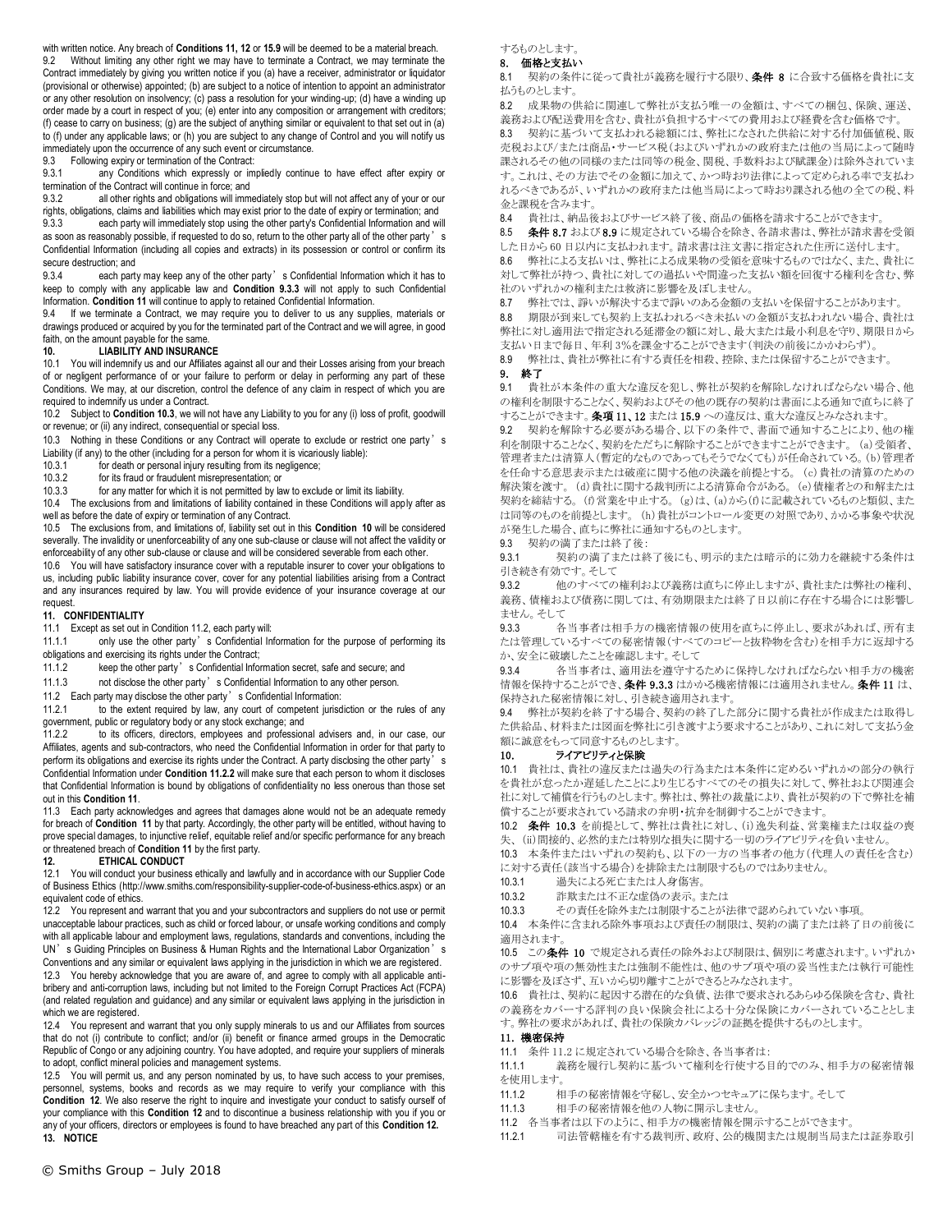with written notice. Any breach of **Conditions 11, 12** or **15.9** will be deemed to be a material breach. 9.2 Without limiting any other right we may have to terminate a Contract, we may terminate the Contract immediately by giving you written notice if you (a) have a receiver, administrator or liquidator (provisional or otherwise) appointed; (b) are subject to a notice of intention to appoint an administrator or any other resolution on insolvency; (c) pass a resolution for your winding-up; (d) have a winding up order made by a court in respect of you; (e) enter into any composition or arrangement with creditors; (f) cease to carry on business; (g) are the subject of anything similar or equivalent to that set out in (a) to (f) under any applicable laws; or (h) you are subject to any change of Control and you will notify us immediately upon the occurrence of any such event or circumstance.

9.3 Following expiry or termination of the Contract:<br>9.3.1 any Conditions which expressly or im

any Conditions which expressly or impliedly continue to have effect after expiry or termination of the Contract will continue in force; and<br>9.3.2 all other rights and obligations will imm

all other rights and obligations will immediately stop but will not affect any of your or our rights, obligations, claims and liabilities which may exist prior to the date of expiry or termination; and

9.3.3 each party will immediately stop using the other party's Confidential Information and will as soon as reasonably possible, if requested to do so, return to the other party all of the other party's Confidential Information (including all copies and extracts) in its possession or control or confirm its secure destruction; and

9.3.4 each party may keep any of the other party's Confidential Information which it has to keep to comply with any applicable law and **Condition 9.3.3** will not apply to such Confidential Information. **Condition 11** will continue to apply to retained Confidential Information.

If we terminate a Contract, we may require you to deliver to us any supplies, materials or drawings produced or acquired by you for the terminated part of the Contract and we will agree, in good faith, on the amount payable for the same.

# **10. LIABILITY AND INSURANCE**

10.1 You will indemnify us and our Affiliates against all our and their Losses arising from your breach of or negligent performance of or your failure to perform or delay in performing any part of these Conditions. We may, at our discretion, control the defence of any claim in respect of which you are required to indemnify us under a Contract.

10.2 Subject to **Condition 10.3**, we will not have any Liability to you for any (i) loss of profit, goodwill or revenue; or (ii) any indirect, consequential or special loss.

10.3 Nothing in these Conditions or any Contract will operate to exclude or restrict one party's Liability (if any) to the other (including for a person for whom it is vicariously liable):<br>10.3.1 for death or personal injury resulting from its negligence:

10.3.1 for death or personal injury resulting from its negligence;<br>10.3.2 for its fraud or fraudulent misrepresentation: or

for its fraud or fraudulent misrepresentation; or

10.3.3 for any matter for which it is not permitted by law to exclude or limit its liability.

10.4 The exclusions from and limitations of liability contained in these Conditions will apply after as well as before the date of expiry or termination of any Contract.

10.5 The exclusions from, and limitations of, liability set out in this **Condition 10** will be considered severally. The invalidity or unenforceability of any one sub-clause or clause will not affect the validity or enforceability of any other sub-clause or clause and will be considered severable from each other.

10.6 You will have satisfactory insurance cover with a reputable insurer to cover your obligations to us, including public liability insurance cover, cover for any potential liabilities arising from a Contract and any insurances required by law. You will provide evidence of your insurance coverage at our request.

# **11. CONFIDENTIALITY**

11.1 Except as set out in Condition 11.2, each party will:

11.1.1 only use the other party's Confidential Information for the purpose of performing its obligations and exercising its rights under the Contract;

11.1.2 keep the other party's Confidential Information secret, safe and secure; and

11.1.3 not disclose the other party's Confidential Information to any other person.

11.2 Each party may disclose the other party's Confidential Information:

11.2.1 to the extent required by law, any court of competent jurisdiction or the rules of any government, public or regulatory body or any stock exchange; and

11.2.2 to its officers, directors, employees and professional advisers and, in our case, our Affiliates, agents and sub-contractors, who need the Confidential Information in order for that party to perform its obligations and exercise its rights under the Contract. A party disclosing the other party's Confidential Information under **Condition 11.2.2** will make sure that each person to whom it discloses that Confidential Information is bound by obligations of confidentiality no less onerous than those set out in this **Condition 11**.

11.3 Each party acknowledges and agrees that damages alone would not be an adequate remedy for breach of **Condition 11** by that party. Accordingly, the other party will be entitled, without having to prove special damages, to injunctive relief, equitable relief and/or specific performance for any breach or threatened breach of **Condition 11** by the first party.

#### **12. ETHICAL CONDUCT**

12.1 You will conduct your business ethically and lawfully and in accordance with our Supplier Code of Business Ethics (http://www.smiths.com/responsibility-supplier-code-of-business-ethics.aspx) or an equivalent code of ethics.

12.2 You represent and warrant that you and your subcontractors and suppliers do not use or permit unacceptable labour practices, such as child or forced labour, or unsafe working conditions and comply with all applicable labour and employment laws, regulations, standards and conventions, including the UN's Guiding Principles on Business & Human Rights and the International Labor Organization's Conventions and any similar or equivalent laws applying in the jurisdiction in which we are registered.

12.3 You hereby acknowledge that you are aware of, and agree to comply with all applicable antibribery and anti-corruption laws, including but not limited to the Foreign Corrupt Practices Act (FCPA) (and related regulation and guidance) and any similar or equivalent laws applying in the jurisdiction in which we are registered.

12.4 You represent and warrant that you only supply minerals to us and our Affiliates from sources that do not (i) contribute to conflict; and/or (ii) benefit or finance armed groups in the Democratic Republic of Congo or any adjoining country. You have adopted, and require your suppliers of minerals to adopt, conflict mineral policies and management systems.

12.5 You will permit us, and any person nominated by us, to have such access to your premises, personnel, systems, books and records as we may require to verify your compliance with this **Condition 12**. We also reserve the right to inquire and investigate your conduct to satisfy ourself of your compliance with this **Condition 12** and to discontinue a business relationship with you if you or any of your officers, directors or employees is found to have breached any part of this **Condition 12. 13. NOTICE**

するものとします。

# 8. 価格と支払い

8.1 契約の条件に従って貴社が義務を履行する限り、条件 8 に合致する価格を貴社に支 払うものとします。

8.2 成果物の供給に関連して弊社が支払う唯一の金額は、すべての梱包、保険、運送、 義務および配送費用を含む、貴社が負担するすべての費用および経費を含む価格です。 8.3 契約に基づいて支払われる総額には、弊社になされた供給に対する付加価値税、販 売税および/または商品・サービス税(およびいずれかの政府または他の当局によって随時 課されるその他の同様のまたは同等の税金、関税、手数料および賦課金)は除外されていま す。これは、その方法でその金額に加えて、かつ時おり法律によって定められる率で支払わ れるべきであるが、いずれかの政府または他当局によって時おり課される他の全ての税、料 金と課税を含みます。

8.4 貴社は、納品後およびサービス終了後、商品の価格を請求することができます。

8.5 条件 8.7 および 8.9 に規定されている場合を除き、各請求書は、弊社が請求書を受領 した日から 60 日以内に支払われます。請求書は注文書に指定された住所に送付します。 8.6 弊社による支払いは、弊社による成果物の受領を意味するものではなく、また、貴社に 対して弊社が持つ、貴社に対しての過払いや間違った支払い額を回復する権利を含む、弊 社のいずれかの権利または救済に影響を及ぼしません。

8.7 弊社では、諍いが解決するまで諍いのある金額の支払いを保留することがあります。 8.8 期限が到来しても契約上支払われるべき未払いの金額が支払われない場合、貴社は 弊社に対し適用法で指定される延滞金の額に対し、最大または最小利息を守り、期限日から 支払い日まで毎日、年利 3%を課金することができます(判決の前後にかかわらず)。

8.9 弊社は、貴社が弊社に有する責任を相殺、控除、または保留することができます。 9. 終了

9.1 貴社が本条件の重大な違反を犯し、弊社が契約を解除しなければならない場合、他 の権利を制限することなく、契約およびその他の既存の契約は書面による通知で直ちに終了 することができます。条項 11、12 または 15.9 への違反は、重大な違反とみなされます。

9.2 契約を解除する必要がある場合、以下の条件で、書面で通知することにより、他の権 利を制限することなく、契約をただちに解除することができますことができます。 (a)受領者、 管理者または清算人(暫定的なものであってもそうでなくても)が任命されている。(b)管理者 を任命する意思表示または破産に関する他の決議を前提とする。 (c)貴社の清算のための 解決策を渡す。 (d)貴社に関する裁判所による清算命令がある。 (e)債権者との和解または 契約を締結する。 (f)営業を中止する。 (g)は、(a)から(f)に記載されているものと類似、また は同等のものを前提とします。 (h)貴社がコントロール変更の対照であり、かかる事象や状況 が発生した場合、直ちに弊社に通知するものとします。

9.3 契約の満了または終了後:

9.3.1 契約の満了または終了後にも、明示的または暗示的に効力を継続する条件は 引き続き有効です。そして

9.3.2 他のすべての権利および義務は直ちに停止しますが、貴社または弊社の権利、 義務、債権および債務に関しては、有効期限または終了日以前に存在する場合には影響し ません。そして

9.3.3 各当事者は相手方の機密情報の使用を直ちに停止し、要求があれば、所有ま たは管理しているすべての秘密情報(すべてのコピーと抜粋物を含む)を相手方に返却する か、安全に破壊したことを確認します。そして

9.3.4 各当事者は、適用法を遵守するために保持しなければならない相手方の機密 情報を保持することができ、条件 9.3.3 はかかる機密情報には適用されません。条件 11 は、 保持された秘密情報に対し、引き続き適用されます。

9.4 弊社が契約を終了する場合、契約の終了した部分に関する貴社が作成または取得し た供給品、材料または図面を弊社に引き渡すよう要求することがあり、これに対して支払う金 額に誠意をもって同意するものとします。

# 10. ライアビリティと保険

10.1 貴社は、貴社の違反または過失の行為または本条件に定めるいずれかの部分の執行 を貴社が怠ったか遅延したことにより生じるすべてのその損失に対して、弊社および関連会 社に対して補償を行うものとします。弊社は、弊社の裁量により、貴社が契約の下で弊社を補 償することが要求されている請求の弁明・抗弁を制御することができます。

10.2 条件 10.3 を前提として、弊社は貴社に対し、(i)逸失利益、営業権または収益の喪 失、 (ii)間接的、必然的または特別な損失に関する一切のライアビリティを負いません。

10.3 本条件またはいずれの契約も、以下の一方の当事者の他方(代理人の責任を含む) に対する責任(該当する場合)を排除または制限するものではありません。

10.3.1 過失による死亡または人身傷害。

10.3.2 詐欺または不正な虚偽の表示。または

10.3.3 その責任を除外または制限することが法律で認められていない事項。

10.4 本条件に含まれる除外事項および責任の制限は、契約の満了または終了日の前後に 適用されます

10.5 この条件 10 で規定される責任の除外および制限は、個別に考慮されます。いずれか のサブ項や項の無効性または強制不能性は、他のサブ項や項の妥当性または執行可能性 に影響を及ぼさず、互いから切り離すことができるとみなされます。

10.6 貴社は、契約に起因する潜在的な負債、法律で要求されるあらゆる保険を含む、貴社 の義務をカバーする評判の良い保険会社による十分な保険にカバーされていることとしま す。弊社の要求があれば、貴社の保険カバレッジの証拠を提供するものとします。

#### 11. 機密保持

11.1 条件 11.2 に規定されている場合を除き、各当事者は:

11.1.1 義務を履行し契約に基づいて権利を行使する目的でのみ、相手方の秘密情報 を使用します。

11.1.2 相手の秘密情報を守秘し、安全かつセキュアに保ちます。そして

11.1.3 相手の秘密情報を他の人物に開示しません。

11.2 各当事者は以下のように、相手方の機密情報を開示することができます。

11.2.1 司法管轄権を有する裁判所、政府、公的機関または規制当局または証券取引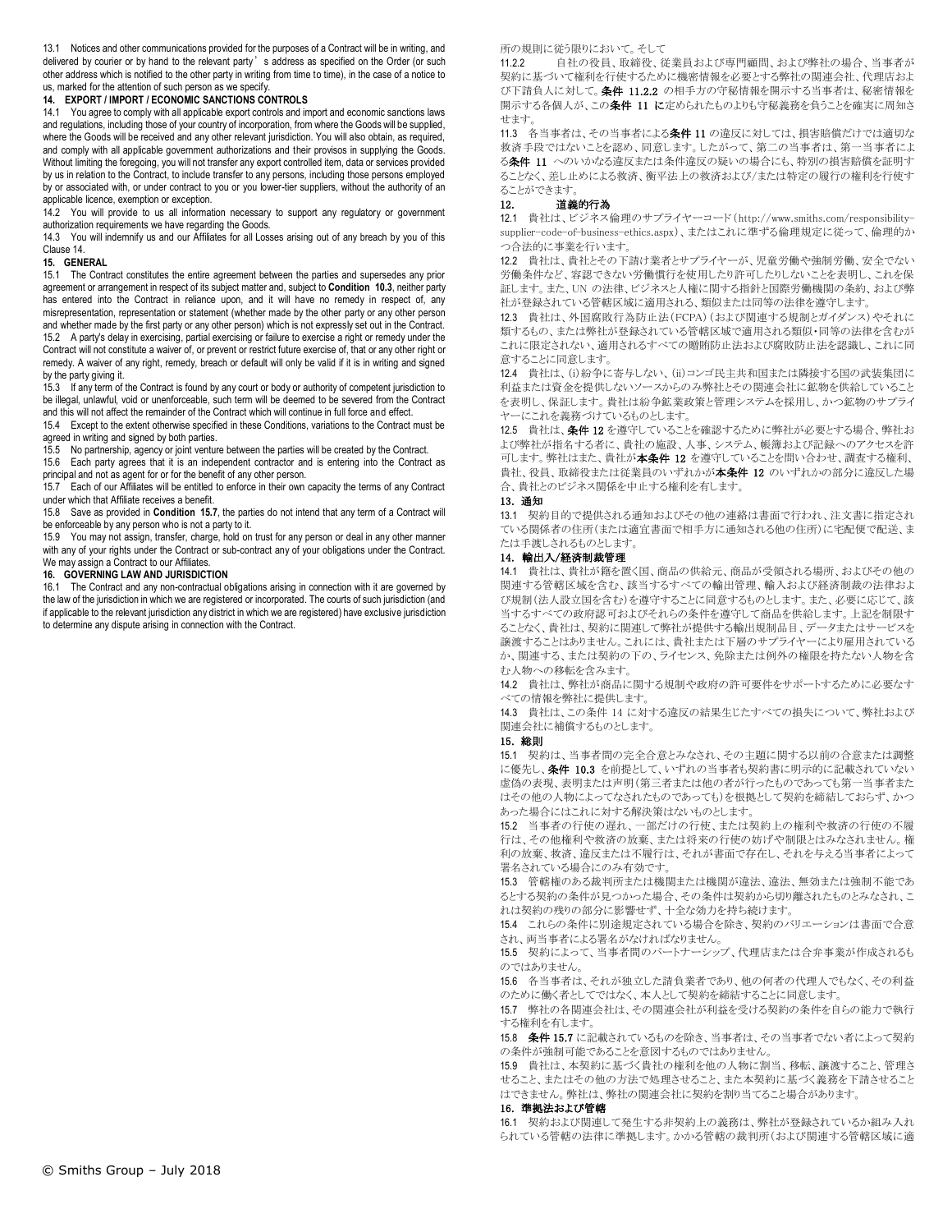13.1 Notices and other communications provided for the purposes of a Contract will be in writing, and delivered by courier or by hand to the relevant party's address as specified on the Order (or such other address which is notified to the other party in writing from time to time), in the case of a notice to us, marked for the attention of such person as we specify.

# **14. EXPORT / IMPORT / ECONOMIC SANCTIONS CONTROLS**

14.1 You agree to comply with all applicable export controls and import and economic sanctions laws and regulations, including those of your country of incorporation, from where the Goods will be supplied, where the Goods will be received and any other relevant jurisdiction. You will also obtain, as required, and comply with all applicable government authorizations and their provisos in supplying the Goods. Without limiting the foregoing, you will not transfer any export controlled item, data or services provided by us in relation to the Contract, to include transfer to any persons, including those persons employed by or associated with, or under contract to you or you lower-tier suppliers, without the authority of an applicable licence, exemption or exception.

14.2 You will provide to us all information necessary to support any regulatory or government authorization requirements we have regarding the Goods.

14.3 You will indemnify us and our Affiliates for all Losses arising out of any breach by you of this Clause 14.

# **15. GENERAL**

15.1 The Contract constitutes the entire agreement between the parties and supersedes any prior agreement or arrangement in respect of its subject matter and, subject to **Condition 10.3**, neither party has entered into the Contract in reliance upon, and it will have no remedy in respect of, any misrepresentation, representation or statement (whether made by the other party or any other person and whether made by the first party or any other person) which is not expressly set out in the Contract. 15.2 A party's delay in exercising, partial exercising or failure to exercise a right or remedy under the Contract will not constitute a waiver of, or prevent or restrict future exercise of, that or any other right or remedy. A waiver of any right, remedy, breach or default will only be valid if it is in writing and signed by the party giving it.

15.3 If any term of the Contract is found by any court or body or authority of competent jurisdiction to be illegal, unlawful, void or unenforceable, such term will be deemed to be severed from the Contract and this will not affect the remainder of the Contract which will continue in full force and effect.

15.4 Except to the extent otherwise specified in these Conditions, variations to the Contract must be agreed in writing and signed by both parties.

15.5 No partnership, agency or joint venture between the parties will be created by the Contract.

15.6 Each party agrees that it is an independent contractor and is entering into the Contract as principal and not as agent for or for the benefit of any other person.

15.7 Each of our Affiliates will be entitled to enforce in their own capacity the terms of any Contract under which that Affiliate receives a benefit.

15.8 Save as provided in **Condition 15.7**, the parties do not intend that any term of a Contract will be enforceable by any person who is not a party to it.

15.9 You may not assign, transfer, charge, hold on trust for any person or deal in any other manner with any of your rights under the Contract or sub-contract any of your obligations under the Contract. We may assign a Contract to our Affiliates.

#### **16. GOVERNING LAW AND JURISDICTION**

16.1 The Contract and any non-contractual obligations arising in connection with it are governed by the law of the jurisdiction in which we are registered or incorporated. The courts of such jurisdiction (and if applicable to the relevant jurisdiction any district in which we are registered) have exclusive jurisdiction to determine any dispute arising in connection with the Contract.

# 所の規則に従う限りにおいて。そして

11.2.2 自社の役員、取締役、従業員および専門顧問、および弊社の場合、当事者が 契約に基づいて権利を行使するために機密情報を必要とする弊社の関連会社、代理店およ び下請負人に対して。条件 11.2.2 の相手方の守秘情報を開示する当事者は、秘密情報を 開示する各個人が、この条件 11 に定められたものよりも守秘義務を負うことを確実に周知さ せます。

11.3 各当事者は、その当事者による条件 11 の違反に対しては、損害賠償だけでは適切な 救済手段ではないことを認め、同意します。したがって、第二の当事者は、第一当事者によ る条件 11 へのいかなる違反または条件違反の疑いの場合にも、特別の損害賠償を証明す ることなく、差し止めによる救済、衡平法上の救済および/または特定の履行の権利を行使す ることができます。

# 12. 道義的行為

12.1 貴社は、ビジネス倫理のサプライヤーコード(http://www.smiths.com/responsibilitysupplier-code-of-business-ethics.aspx)、またはこれに準ずる倫理規定に従って、倫理的か つ合法的に事業を行います。

12.2 貴社は、貴社とその下請け業者とサプライヤーが、児童労働や強制労働、安全でない 労働条件など、容認できない労働慣行を使用したり許可したりしないことを表明し、これを保 証します。また、UN の法律、ビジネスと人権に関する指針と国際労働機関の条約、および弊 社が登録されている管轄区域に適用される、類似または同等の法律を遵守します。

12.3 貴社は、外国腐敗行為防止法(FCPA)(および関連する規制とガイダンス)やそれに 類するもの、または弊社が登録されている管轄区域で適用される類似・同等の法律を含むが これに限定されない、適用されるすべての贈賄防止法および腐敗防止法を認識し、これに同 意することに同意します。

12.4 貴社は、(i)紛争に寄与しない、(ii)コンゴ民主共和国または隣接する国の武装集団に 利益または資金を提供しないソースからのみ弊社とその関連会社に鉱物を供給していること を表明し、保証します。貴社は紛争鉱業政策と管理システムを採用し、かつ鉱物のサプライ ヤーにこれを義務づけているものとします。

12.5 貴社は、条件 12 を遵守していることを確認するために弊社が必要とする場合、弊社お よび弊社が指名する者に、貴社の施設、人事、システム、帳簿および記録へのアクセスを許 可します。弊社はまた、貴社が本条件 12 を遵守していることを問い合わせ、調査する権利、 貴社、役員、取締役または従業員のいずれかが**本条件 12** のいずれかの部分に違反した場 合、貴社とのビジネス関係を中止する権利を有します。

# 13. 通知

13.1 契約目的で提供される通知およびその他の連絡は書面で行われ、注文書に指定され ている関係者の住所(または適宜書面で相手方に通知される他の住所)に宅配便で配送、ま たは手渡しされるものとします。

# 14. 輸出入/経済制裁管理

14.1 貴社は、貴社が籍を置く国、商品の供給元、商品が受領される場所、およびその他の 関連する管轄区域を含む、該当するすべての輸出管理、輸入および経済制裁の法律およ び規制(法人設立国を含む)を遵守することに同意するものとします。また、必要に応じて、該 当するすべての政府認可およびそれらの条件を遵守して商品を供給します。上記を制限す ることなく、貴社は、契約に関連して弊社が提供する輸出規制品目、データまたはサービスを 譲渡することはありません。これには、貴社または下層のサプライヤーにより雇用されている か、関連する、または契約の下の、ライセンス、免除または例外の権限を持たない人物を含 む人物への移転を含みます。

14.2 貴社は、弊社が商品に関する規制や政府の許可要件をサポートするために必要なす べての情報を弊社に提供します。

14.3 貴社は、この条件 14 に対する違反の結果生じたすべての損失について、弊社および 関連会社に補償するものとします。

#### 15. 総則

15.1 契約は、当事者間の完全合意とみなされ、その主題に関する以前の合意または調整 に優先し、条件 10.3 を前提として、いずれの当事者も契約書に明示的に記載されていない 虚偽の表現、表明または声明(第三者または他の者が行ったものであっても第一当事者また はその他の人物によってなされたものであっても)を根拠として契約を締結しておらず、かつ あった場合にはこれに対する解決策はないものとします。

15.2 当事者の行使の遅れ、一部だけの行使、または契約上の権利や救済の行使の不履 行は、その他権利や救済の放棄、または将来の行使の妨げや制限とはみなされません。権 利の放棄、救済、違反または不履行は、それが書面で存在し、それを与える当事者によって 署名されている場合にのみ有効です。

15.3 管轄権のある裁判所または機関または機関が違法、違法、無効または強制不能であ るとする契約の条件が見つかった場合、その条件は契約から切り離されたものとみなされ、こ れは契約の残りの部分に影響せず、十全な効力を持ち続けます。

15.4 これらの条件に別途規定されている場合を除き、契約のバリエーションは書面で合意 され、両当事者による署名がなければなりません。

15.5 契約によって、当事者間のパートナーシップ、代理店または合弁事業が作成されるも のではありません。

15.6 各当事者は、それが独立した請負業者であり、他の何者の代理人でもなく、その利益 のために働く者としてではなく、本人として契約を締結することに同意します。

15.7 弊社の各関連会社は、その関連会社が利益を受ける契約の条件を自らの能力で執行 する権利を有します。

15.8 条件 15.7 に記載されているものを除き、当事者は、その当事者でない者によって契約 の条件が強制可能であることを意図するものではありません。

15.9 貴社は、本契約に基づく貴社の権利を他の人物に割当、移転、譲渡すること、管理さ せること、またはその他の方法で処理させること、また本契約に基づく義務を下請させること はできません。弊社は、弊社の関連会社に契約を割り当てること場合があります。

#### 16. 準拠法および管轄

16.1 契約および関連して発生する非契約上の義務は、弊社が登録されているか組み入れ られている管轄の法律に準拠します。かかる管轄の裁判所(および関連する管轄区域に適